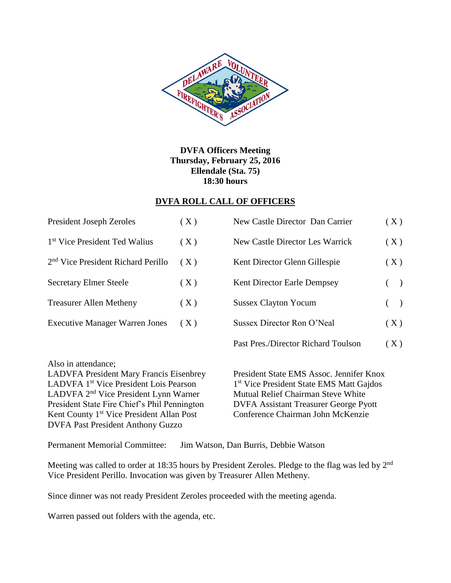

**DVFA Officers Meeting Thursday, February 25, 2016 Ellendale (Sta. 75) 18:30 hours**

## **DVFA ROLL CALL OF OFFICERS**

| <b>President Joseph Zeroles</b>                | (X) | New Castle Director Dan Carrier     | (X)   |  |
|------------------------------------------------|-----|-------------------------------------|-------|--|
| 1 <sup>st</sup> Vice President Ted Walius      | (X) | New Castle Director Les Warrick     | (X)   |  |
| 2 <sup>nd</sup> Vice President Richard Perillo | (X) | Kent Director Glenn Gillespie       | (X)   |  |
| <b>Secretary Elmer Steele</b>                  | (X) | <b>Kent Director Earle Dempsey</b>  | $($ ) |  |
| <b>Treasurer Allen Metheny</b>                 | (X) | <b>Sussex Clayton Yocum</b>         | $($ ) |  |
| <b>Executive Manager Warren Jones</b>          | (X) | Sussex Director Ron O'Neal          | (X)   |  |
|                                                |     | Past Pres./Director Richard Toulson | (X)   |  |

Also in attendance;

LADVFA President Mary Francis Eisenbrey President State EMS Assoc. Jennifer Knox LADVFA 1<sup>st</sup> Vice President Lois Pearson LADVFA 2<sup>nd</sup> Vice President Lynn Warner Mutual Relief Chairman Steve White President State Fire Chief's Phil Pennington DVFA Assistant Treasurer George Pyott Kent County 1<sup>st</sup> Vice President Allan Post Conference Chairman John McKenzie DVFA Past President Anthony Guzzo

1<sup>st</sup> Vice President State EMS Matt Gajdos

Permanent Memorial Committee: Jim Watson, Dan Burris, Debbie Watson

Meeting was called to order at 18:35 hours by President Zeroles. Pledge to the flag was led by 2<sup>nd</sup> Vice President Perillo. Invocation was given by Treasurer Allen Metheny.

Since dinner was not ready President Zeroles proceeded with the meeting agenda.

Warren passed out folders with the agenda, etc.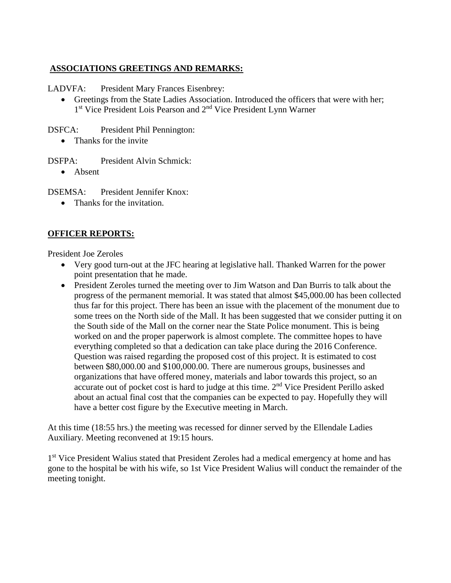## **ASSOCIATIONS GREETINGS AND REMARKS:**

LADVFA: President Mary Frances Eisenbrey:

 Greetings from the State Ladies Association. Introduced the officers that were with her; 1<sup>st</sup> Vice President Lois Pearson and 2<sup>nd</sup> Vice President Lynn Warner

DSFCA: President Phil Pennington:

- Thanks for the invite
- DSFPA: President Alvin Schmick:
	- Absent

DSEMSA: President Jennifer Knox:

• Thanks for the invitation.

## **OFFICER REPORTS:**

President Joe Zeroles

- Very good turn-out at the JFC hearing at legislative hall. Thanked Warren for the power point presentation that he made.
- President Zeroles turned the meeting over to Jim Watson and Dan Burris to talk about the progress of the permanent memorial. It was stated that almost \$45,000.00 has been collected thus far for this project. There has been an issue with the placement of the monument due to some trees on the North side of the Mall. It has been suggested that we consider putting it on the South side of the Mall on the corner near the State Police monument. This is being worked on and the proper paperwork is almost complete. The committee hopes to have everything completed so that a dedication can take place during the 2016 Conference. Question was raised regarding the proposed cost of this project. It is estimated to cost between \$80,000.00 and \$100,000.00. There are numerous groups, businesses and organizations that have offered money, materials and labor towards this project, so an accurate out of pocket cost is hard to judge at this time. 2<sup>nd</sup> Vice President Perillo asked about an actual final cost that the companies can be expected to pay. Hopefully they will have a better cost figure by the Executive meeting in March.

At this time (18:55 hrs.) the meeting was recessed for dinner served by the Ellendale Ladies Auxiliary. Meeting reconvened at 19:15 hours.

1<sup>st</sup> Vice President Walius stated that President Zeroles had a medical emergency at home and has gone to the hospital be with his wife, so 1st Vice President Walius will conduct the remainder of the meeting tonight.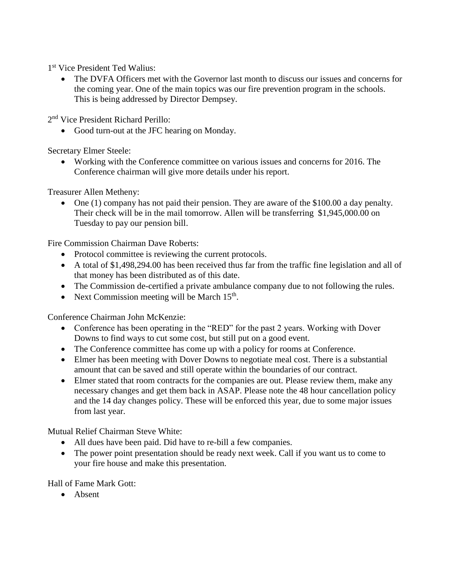1 st Vice President Ted Walius:

 The DVFA Officers met with the Governor last month to discuss our issues and concerns for the coming year. One of the main topics was our fire prevention program in the schools. This is being addressed by Director Dempsey.

2<sup>nd</sup> Vice President Richard Perillo:

• Good turn-out at the JFC hearing on Monday.

Secretary Elmer Steele:

 Working with the Conference committee on various issues and concerns for 2016. The Conference chairman will give more details under his report.

Treasurer Allen Metheny:

 One (1) company has not paid their pension. They are aware of the \$100.00 a day penalty. Their check will be in the mail tomorrow. Allen will be transferring \$1,945,000.00 on Tuesday to pay our pension bill.

Fire Commission Chairman Dave Roberts:

- Protocol committee is reviewing the current protocols.
- A total of \$1,498,294.00 has been received thus far from the traffic fine legislation and all of that money has been distributed as of this date.
- The Commission de-certified a private ambulance company due to not following the rules.
- Next Commission meeting will be March  $15<sup>th</sup>$ .

Conference Chairman John McKenzie:

- Conference has been operating in the "RED" for the past 2 years. Working with Dover Downs to find ways to cut some cost, but still put on a good event.
- The Conference committee has come up with a policy for rooms at Conference.
- Elmer has been meeting with Dover Downs to negotiate meal cost. There is a substantial amount that can be saved and still operate within the boundaries of our contract.
- Elmer stated that room contracts for the companies are out. Please review them, make any necessary changes and get them back in ASAP. Please note the 48 hour cancellation policy and the 14 day changes policy. These will be enforced this year, due to some major issues from last year.

Mutual Relief Chairman Steve White:

- All dues have been paid. Did have to re-bill a few companies.
- The power point presentation should be ready next week. Call if you want us to come to your fire house and make this presentation.

Hall of Fame Mark Gott:

• Absent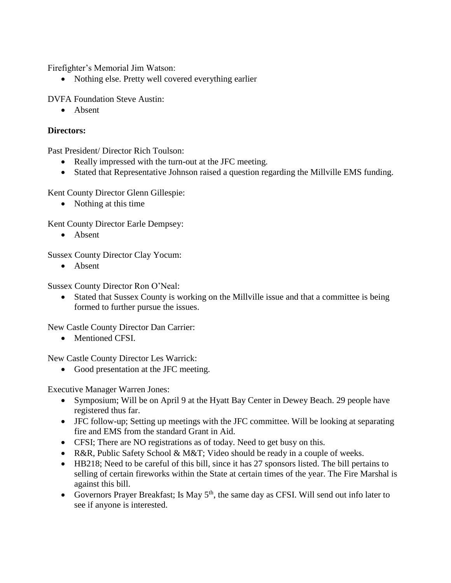Firefighter's Memorial Jim Watson:

• Nothing else. Pretty well covered everything earlier

DVFA Foundation Steve Austin:

• Absent

## **Directors:**

Past President/ Director Rich Toulson:

- Really impressed with the turn-out at the JFC meeting.
- Stated that Representative Johnson raised a question regarding the Millville EMS funding.

Kent County Director Glenn Gillespie:

• Nothing at this time

Kent County Director Earle Dempsey:

• Absent

Sussex County Director Clay Yocum:

• Absent

Sussex County Director Ron O'Neal:

 Stated that Sussex County is working on the Millville issue and that a committee is being formed to further pursue the issues.

New Castle County Director Dan Carrier:

• Mentioned CFSI.

New Castle County Director Les Warrick:

• Good presentation at the JFC meeting.

Executive Manager Warren Jones:

- Symposium; Will be on April 9 at the Hyatt Bay Center in Dewey Beach. 29 people have registered thus far.
- JFC follow-up; Setting up meetings with the JFC committee. Will be looking at separating fire and EMS from the standard Grant in Aid.
- CFSI; There are NO registrations as of today. Need to get busy on this.
- R&R, Public Safety School & M&T; Video should be ready in a couple of weeks.
- HB218; Need to be careful of this bill, since it has 27 sponsors listed. The bill pertains to selling of certain fireworks within the State at certain times of the year. The Fire Marshal is against this bill.
- Governors Prayer Breakfast; Is May  $5<sup>th</sup>$ , the same day as CFSI. Will send out info later to see if anyone is interested.